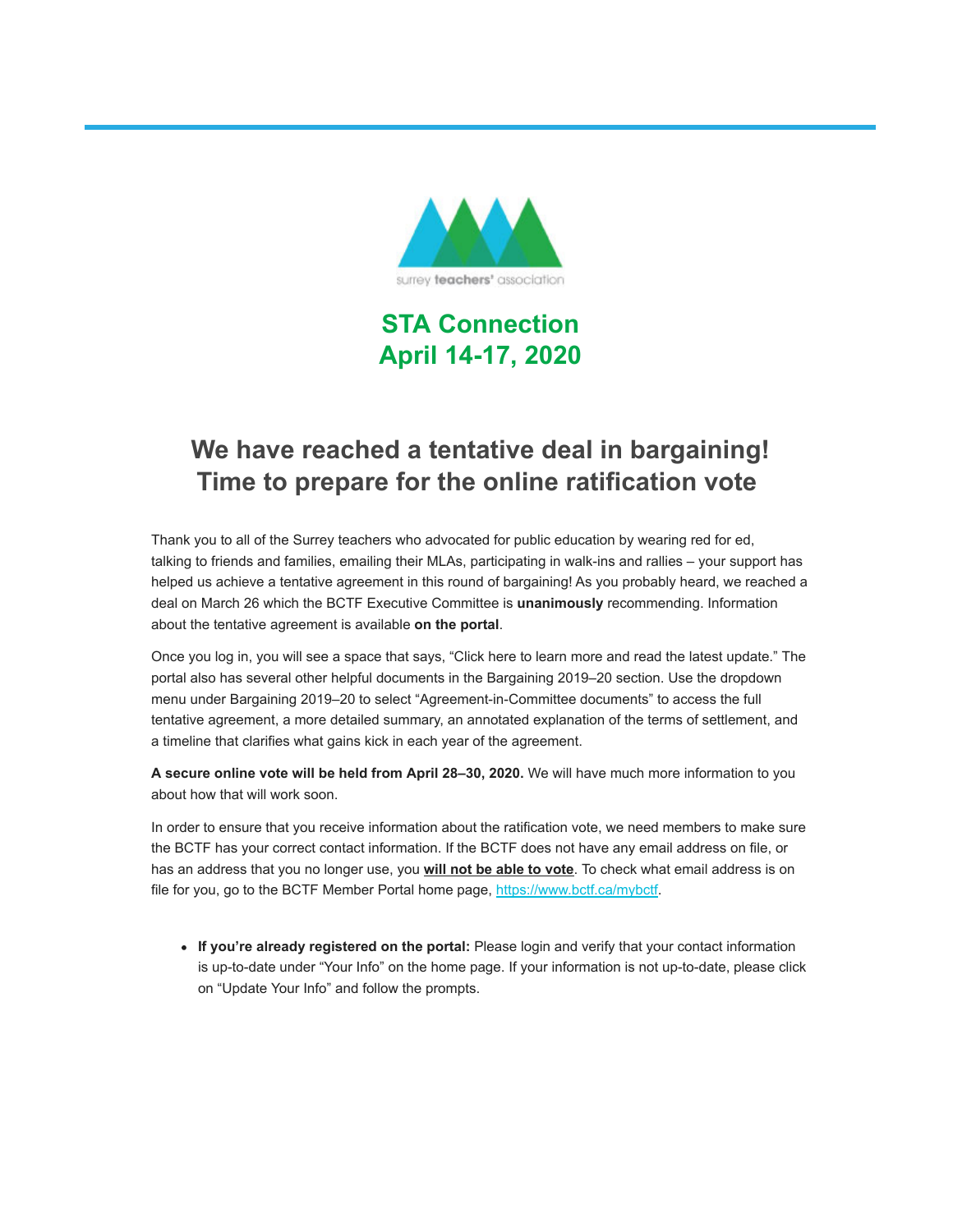

**STA Connection April 14-17, 2020**

# **We have reached a tentative deal in bargaining! Time to prepare for the online ratification vote**

Thank you to all of the Surrey teachers who advocated for public education by wearing red for ed, talking to friends and families, emailing their MLAs, participating in walk-ins and rallies – your support has helped us achieve a tentative agreement in this round of bargaining! As you probably heard, we reached a deal on March 26 which the BCTF Executive Committee is **unanimously** recommending. Information about the tentative agreement is available **on the portal**.

Once you log in, you will see a space that says, "Click here to learn more and read the latest update." The portal also has several other helpful documents in the Bargaining 2019–20 section. Use the dropdown menu under Bargaining 2019–20 to select "Agreement-in-Committee documents" to access the full tentative agreement, a more detailed summary, an annotated explanation of the terms of settlement, and a timeline that clarifies what gains kick in each year of the agreement.

**A secure online vote will be held from April 28–30, 2020.** We will have much more information to you about how that will work soon.

In order to ensure that you receive information about the ratification vote, we need members to make sure the BCTF has your correct contact information. If the BCTF does not have any email address on file, or has an address that you no longer use, you **will not be able to vote**. To check what email address is on file for you, go to the BCTF Member Portal home page, [https://www.bctf.ca/mybctf.](https://surreyteachers.us20.list-manage.com/track/click?u=37ec644ae87e34b54b3912660&id=0f5f80b5d8&e=7261da6bdb)

**If you're already registered on the portal:** Please login and verify that your contact information is up-to-date under "Your Info" on the home page. If your information is not up-to-date, please click on "Update Your Info" and follow the prompts.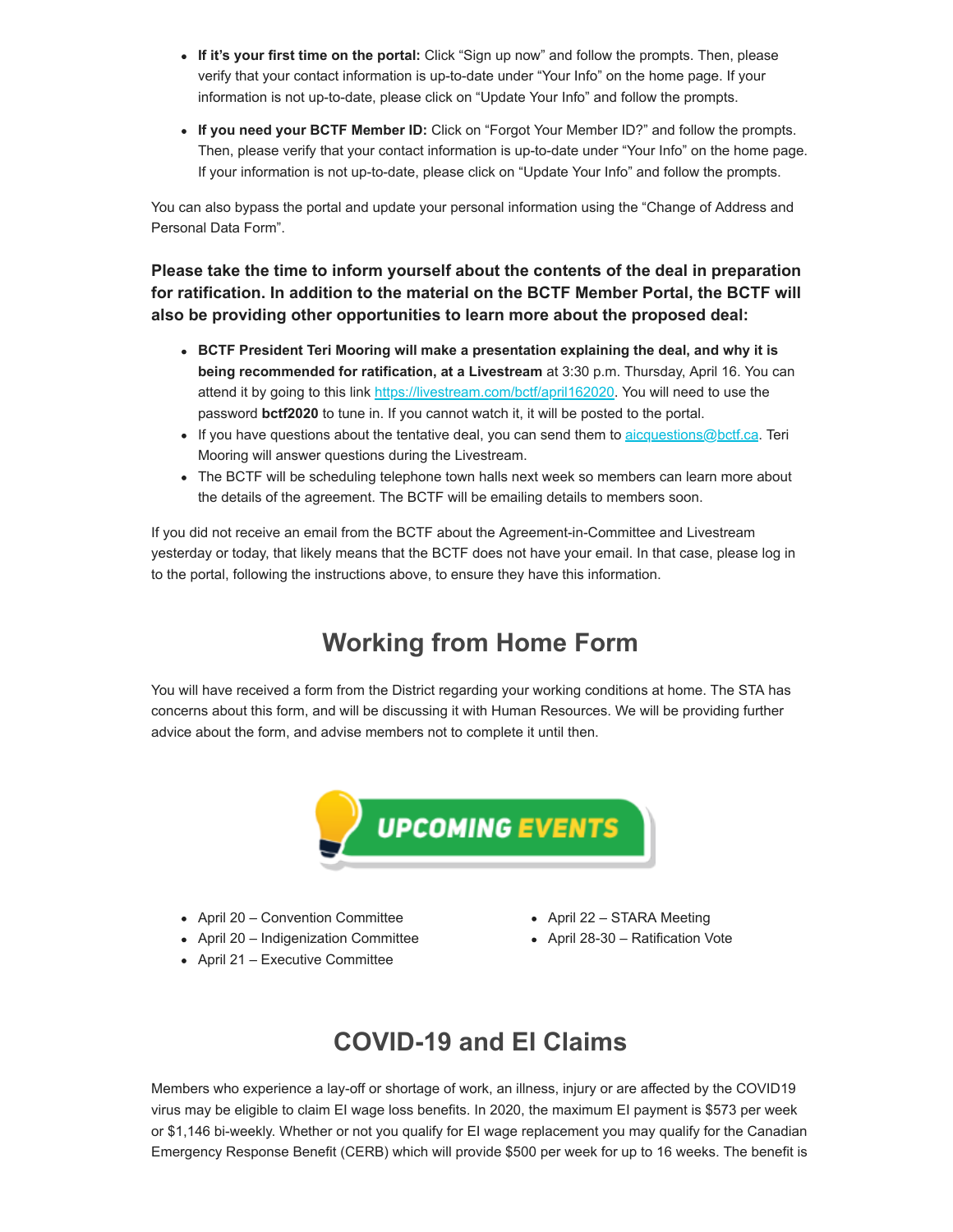- **If it's your first time on the portal:** Click "Sign up now" and follow the prompts. Then, please verify that your contact information is up-to-date under "Your Info" on the home page. If your information is not up-to-date, please click on "Update Your Info" and follow the prompts.
- **If you need your BCTF Member ID:** Click on "Forgot Your Member ID?" and follow the prompts. Then, please verify that your contact information is up-to-date under "Your Info" on the home page. If your information is not up-to-date, please click on "Update Your Info" and follow the prompts.

You can also bypass the portal and update your personal information using the "Change of Address and Personal Data Form".

**Please take the time to inform yourself about the contents of the deal in preparation for ratification. In addition to the material on the BCTF Member Portal, the BCTF will also be providing other opportunities to learn more about the proposed deal:**

- **BCTF President Teri Mooring will make a presentation explaining the deal, and why it is being recommended for ratification, at a Livestream** at 3:30 p.m. Thursday, April 16. You can attend it by going to this link [https://livestream.com/bctf/april162020.](https://surreyteachers.us20.list-manage.com/track/click?u=37ec644ae87e34b54b3912660&id=a083a2f497&e=7261da6bdb) You will need to use the password **bctf2020** to tune in. If you cannot watch it, it will be posted to the portal.
- If you have questions about the tentative deal, you can send them to  $a$ icquestions@bctf.ca. Teri Mooring will answer questions during the Livestream.
- The BCTF will be scheduling telephone town halls next week so members can learn more about the details of the agreement. The BCTF will be emailing details to members soon.

If you did not receive an email from the BCTF about the Agreement-in-Committee and Livestream yesterday or today, that likely means that the BCTF does not have your email. In that case, please log in to the portal, following the instructions above, to ensure they have this information.

# **Working from Home Form**

You will have received a form from the District regarding your working conditions at home. The STA has concerns about this form, and will be discussing it with Human Resources. We will be providing further advice about the form, and advise members not to complete it until then.



- April 20 Convention Committee
- April 20 Indigenization Committee
- April 21 Executive Committee
- April 22 STARA Meeting
- April 28-30 Ratification Vote

### **COVID-19 and EI Claims**

Members who experience a lay-off or shortage of work, an illness, injury or are affected by the COVID19 virus may be eligible to claim EI wage loss benefits. In 2020, the maximum EI payment is \$573 per week or \$1,146 bi-weekly. Whether or not you qualify for EI wage replacement you may qualify for the Canadian Emergency Response Benefit (CERB) which will provide \$500 per week for up to 16 weeks. The benefit is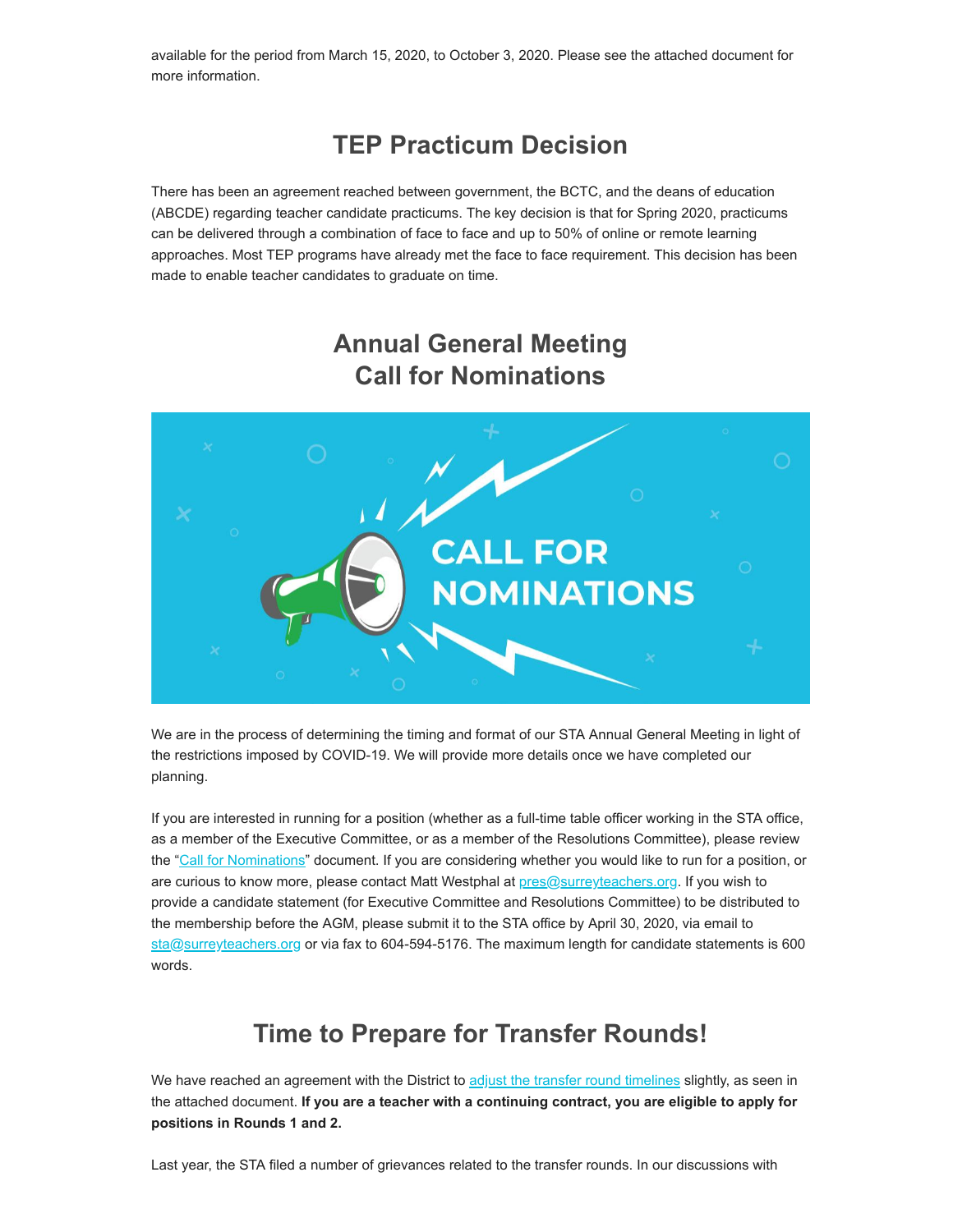available for the period from March 15, 2020, to October 3, 2020. Please see the attached document for more information.

### **TEP Practicum Decision**

There has been an agreement reached between government, the BCTC, and the deans of education (ABCDE) regarding teacher candidate practicums. The key decision is that for Spring 2020, practicums can be delivered through a combination of face to face and up to 50% of online or remote learning approaches. Most TEP programs have already met the face to face requirement. This decision has been made to enable teacher candidates to graduate on time.

# **Annual General Meeting Call for Nominations**



We are in the process of determining the timing and format of our STA Annual General Meeting in light of the restrictions imposed by COVID-19. We will provide more details once we have completed our planning.

If you are interested in running for a position (whether as a full-time table officer working in the STA office, as a member of the Executive Committee, or as a member of the Resolutions Committee), please review the ["Call for Nominations](https://surreyteachers.us20.list-manage.com/track/click?u=37ec644ae87e34b54b3912660&id=a7a73d35a8&e=7261da6bdb)" document. If you are considering whether you would like to run for a position, or are curious to know more, please contact Matt Westphal at [pres@surreyteachers.org.](mailto:pres@surreyteachers.org) If you wish to provide a candidate statement (for Executive Committee and Resolutions Committee) to be distributed to the membership before the AGM, please submit it to the STA office by April 30, 2020, via email to [sta@surreyteachers.org](mailto:sta@surreyteachers.org) or via fax to 604-594-5176. The maximum length for candidate statements is 600 words.

### **Time to Prepare for Transfer Rounds!**

We have reached an agreement with the District to [adjust the transfer round timelines](https://surreyteachers.us20.list-manage.com/track/click?u=37ec644ae87e34b54b3912660&id=129b26b5ef&e=7261da6bdb) slightly, as seen in the attached document. **If you are a teacher with a continuing contract, you are eligible to apply for positions in Rounds 1 and 2.**

Last year, the STA filed a number of grievances related to the transfer rounds. In our discussions with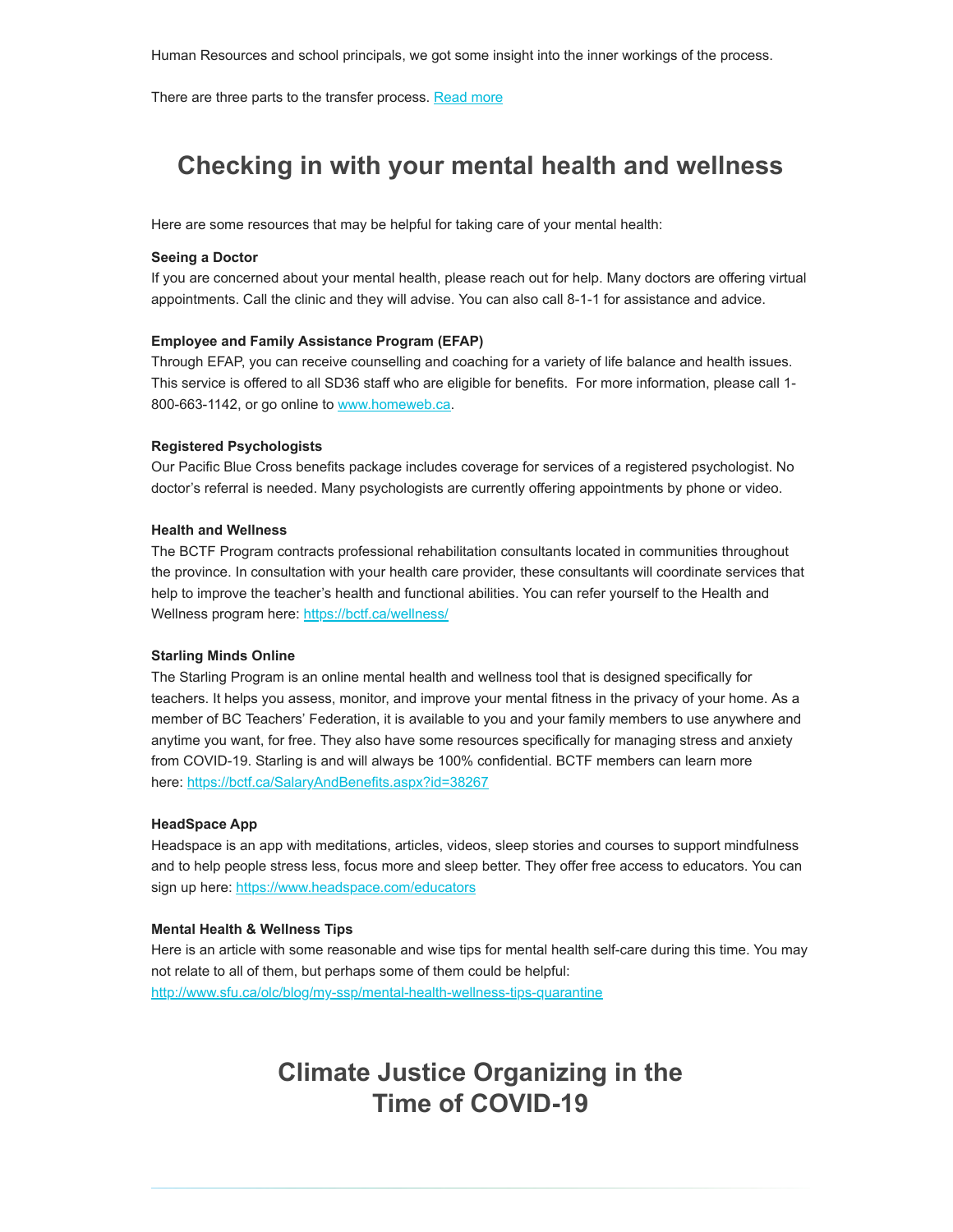There are three parts to the transfer process. [Read more](https://surreyteachers.us20.list-manage.com/track/click?u=37ec644ae87e34b54b3912660&id=b40823d9fe&e=7261da6bdb)

### **Checking in with your mental health and wellness**

Here are some resources that may be helpful for taking care of your mental health:

#### **Seeing a Doctor**

If you are concerned about your mental health, please reach out for help. Many doctors are offering virtual appointments. Call the clinic and they will advise. You can also call 8-1-1 for assistance and advice.

### **Employee and Family Assistance Program (EFAP)**

Through EFAP, you can receive counselling and coaching for a variety of life balance and health issues. This service is offered to all SD36 staff who are eligible for benefits. For more information, please call 1 800-663-1142, or go online to [www.homeweb.ca.](https://surreyteachers.us20.list-manage.com/track/click?u=37ec644ae87e34b54b3912660&id=1c3ae07b01&e=7261da6bdb)

#### **Registered Psychologists**

Our Pacific Blue Cross benefits package includes coverage for services of a registered psychologist. No doctor's referral is needed. Many psychologists are currently offering appointments by phone or video.

### **Health and Wellness**

The BCTF Program contracts professional rehabilitation consultants located in communities throughout the province. In consultation with your health care provider, these consultants will coordinate services that help to improve the teacher's health and functional abilities. You can refer yourself to the Health and Wellness program here: https://bctf.ca/wellness/

### **Starling Minds Online**

The Starling Program is an online mental health and wellness tool that is designed specifically for teachers. It helps you assess, monitor, and improve your mental fitness in the privacy of your home. As a member of BC Teachers' Federation, it is available to you and your family members to use anywhere and anytime you want, for free. They also have some resources specifically for managing stress and anxiety from COVID-19. Starling is and will always be 100% confidential. BCTF members can learn more here: [https://bctf.ca/SalaryAndBenefits.aspx?id=38267](https://surreyteachers.us20.list-manage.com/track/click?u=37ec644ae87e34b54b3912660&id=e42d3f2596&e=7261da6bdb)

### **HeadSpace App**

Headspace is an app with meditations, articles, videos, sleep stories and courses to support mindfulness and to help people stress less, focus more and sleep better. They offer free access to educators. You can sign up here: https://www.headspace.com/educators

#### **Mental Health & Wellness Tips**

Here is an article with some reasonable and wise tips for mental health self-care during this time. You may not relate to all of them, but perhaps some of them could be helpful: [http://www.sfu.ca/olc/blog/my-ssp/mental-health-wellness-tips-quarantine](https://surreyteachers.us20.list-manage.com/track/click?u=37ec644ae87e34b54b3912660&id=a70681b687&e=7261da6bdb) 

### **Climate Justice Organizing in the Time of COVID-19**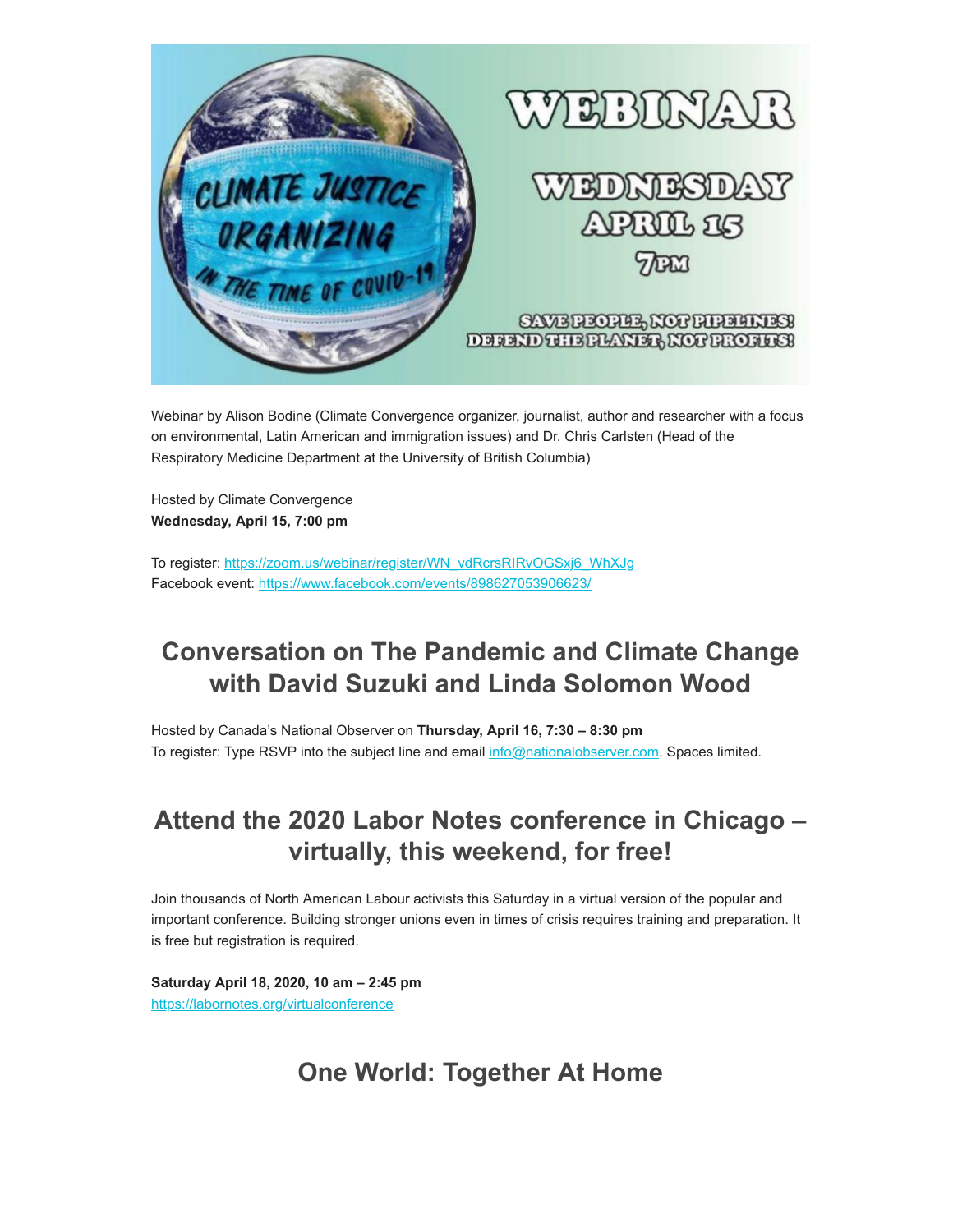

Webinar by Alison Bodine (Climate Convergence organizer, journalist, author and researcher with a focus on environmental, Latin American and immigration issues) and Dr. Chris Carlsten (Head of the Respiratory Medicine Department at the University of British Columbia)

Hosted by Climate Convergence **Wednesday, April 15, 7:00 pm** 

To register: [https://zoom.us/webinar/register/WN\\_vdRcrsRIRvOGSxj6\\_WhXJg](https://surreyteachers.us20.list-manage.com/track/click?u=37ec644ae87e34b54b3912660&id=3c4012efc5&e=7261da6bdb)  Facebook event: [https://www.facebook.com/events/898627053906623/](https://surreyteachers.us20.list-manage.com/track/click?u=37ec644ae87e34b54b3912660&id=136c1ed157&e=7261da6bdb) 

# **Conversation on The Pandemic and Climate Change with David Suzuki and Linda Solomon Wood**

Hosted by Canada's National Observer on **Thursday, April 16, 7:30 – 8:30 pm** To register: Type RSVP into the subject line and email [info@nationalobserver.com.](https://surreyteachers.us20.list-manage.com/track/click?u=37ec644ae87e34b54b3912660&id=a5c6db67aa&e=7261da6bdb) Spaces limited.

# **Attend the 2020 Labor Notes conference in Chicago – virtually, this weekend, for free!**

Join thousands of North American Labour activists this Saturday in a virtual version of the popular and important conference. Building stronger unions even in times of crisis requires training and preparation. It is free but registration is required.

**Saturday April 18, 2020, 10 am – 2:45 pm** [https://labornotes.org/virtualconference](https://surreyteachers.us20.list-manage.com/track/click?u=37ec644ae87e34b54b3912660&id=cc686ce752&e=7261da6bdb)

# **One World: Together At Home**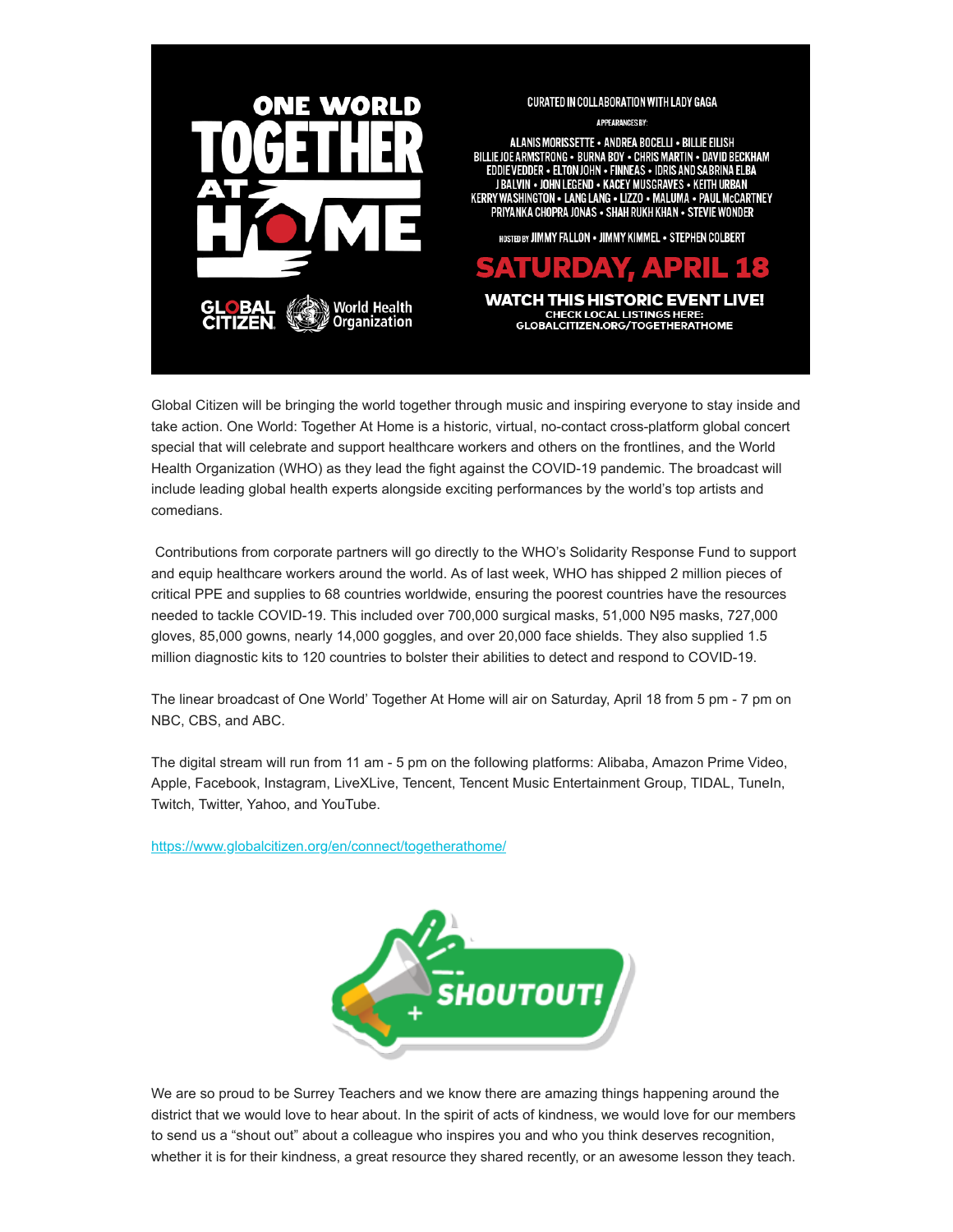

Global Citizen will be bringing the world together through music and inspiring everyone to stay inside and take action. One World: Together At Home is a historic, virtual, no-contact cross-platform global concert special that will celebrate and support healthcare workers and others on the frontlines, and the World Health Organization (WHO) as they lead the fight against the COVID-19 pandemic. The broadcast will include leading global health experts alongside exciting performances by the world's top artists and comedians.

 Contributions from corporate partners will go directly to the WHO's Solidarity Response Fund to support and equip healthcare workers around the world. As of last week, WHO has shipped 2 million pieces of critical PPE and supplies to 68 countries worldwide, ensuring the poorest countries have the resources needed to tackle COVID-19. This included over 700,000 surgical masks, 51,000 N95 masks, 727,000 gloves, 85,000 gowns, nearly 14,000 goggles, and over 20,000 face shields. They also supplied 1.5 million diagnostic kits to 120 countries to bolster their abilities to detect and respond to COVID-19.

The linear broadcast of One World' Together At Home will air on Saturday, April 18 from 5 pm - 7 pm on NBC, CBS, and ABC.

The digital stream will run from 11 am - 5 pm on the following platforms: Alibaba, Amazon Prime Video, Apple, Facebook, Instagram, LiveXLive, Tencent, Tencent Music Entertainment Group, TIDAL, TuneIn, Twitch, Twitter, Yahoo, and YouTube.

[https://www.globalcitizen.org/en/connect/togetherathome/](https://surreyteachers.us20.list-manage.com/track/click?u=37ec644ae87e34b54b3912660&id=2fa130bb00&e=7261da6bdb)



We are so proud to be Surrey Teachers and we know there are amazing things happening around the district that we would love to hear about. In the spirit of acts of kindness, we would love for our members to send us a "shout out" about a colleague who inspires you and who you think deserves recognition, whether it is for their kindness, a great resource they shared recently, or an awesome lesson they teach.